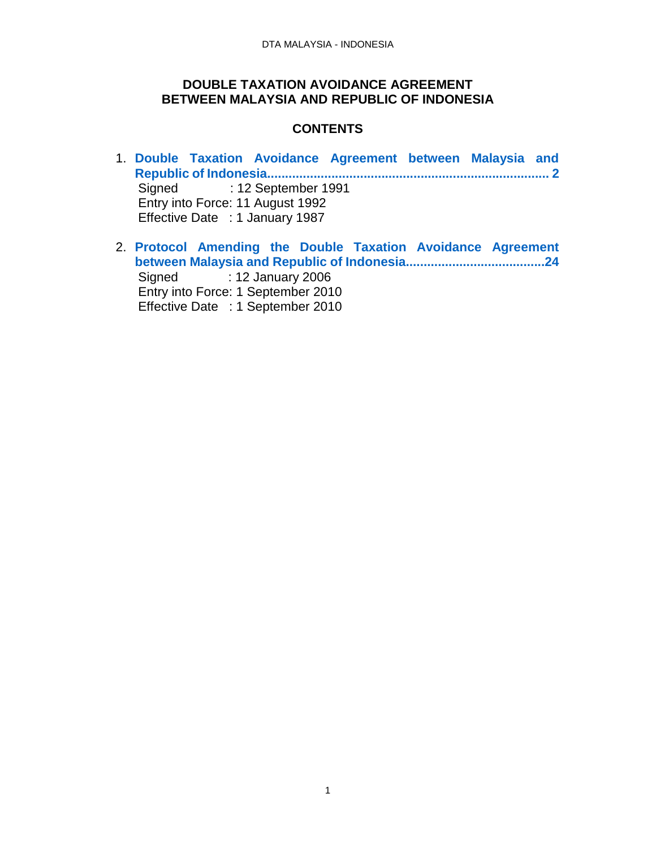### **DOUBLE TAXATION AVOIDANCE AGREEMENT BETWEEN MALAYSIA AND REPUBLIC OF INDONESIA**

### **CONTENTS**

- 1. **[Double Taxation Avoidance Agreement between Malaysia and](#page-1-0)  [Republic of Indonesia...............................................................................](#page-1-0) 2** Signed : 12 September 1991 Entry into Force: 11 August 1992 Effective Date : 1 January 1987
- 2. **[Protocol Amending the Double Taxation Avoidance Agreement](#page-23-0)  [between Malaysia and Republic of Indonesia.......................................24](#page-23-0)** Signed : 12 January 2006 Entry into Force: 1 September 2010 Effective Date : 1 September 2010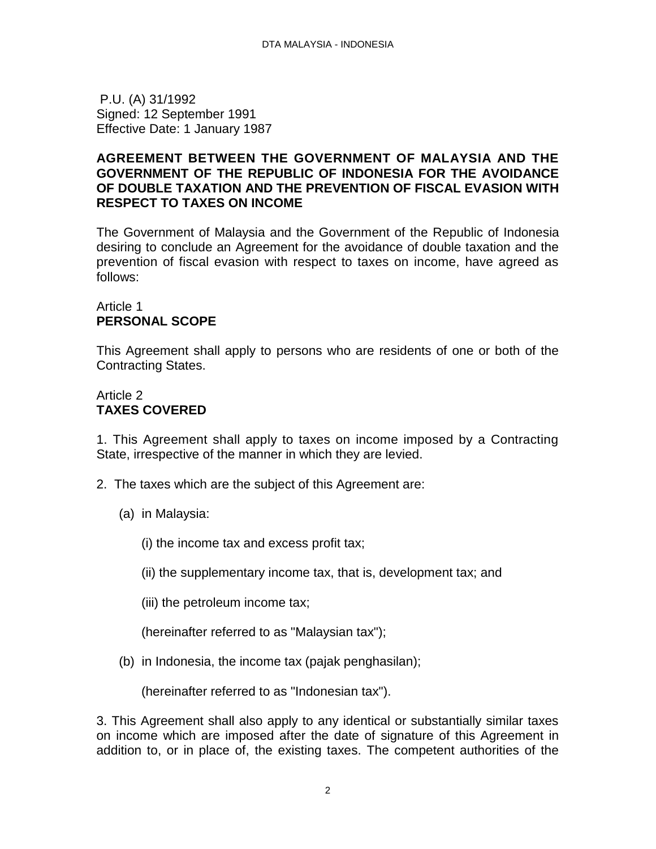<span id="page-1-0"></span>P.U. (A) 31/1992 Signed: 12 September 1991 Effective Date: 1 January 1987

### **AGREEMENT BETWEEN THE GOVERNMENT OF MALAYSIA AND THE GOVERNMENT OF THE REPUBLIC OF INDONESIA FOR THE AVOIDANCE OF DOUBLE TAXATION AND THE PREVENTION OF FISCAL EVASION WITH RESPECT TO TAXES ON INCOME**

The Government of Malaysia and the Government of the Republic of Indonesia desiring to conclude an Agreement for the avoidance of double taxation and the prevention of fiscal evasion with respect to taxes on income, have agreed as follows:

### Article 1 **PERSONAL SCOPE**

This Agreement shall apply to persons who are residents of one or both of the Contracting States.

# Article 2 **TAXES COVERED**

1. This Agreement shall apply to taxes on income imposed by a Contracting State, irrespective of the manner in which they are levied.

- 2. The taxes which are the subject of this Agreement are:
	- (a) in Malaysia:
		- (i) the income tax and excess profit tax;
		- (ii) the supplementary income tax, that is, development tax; and
		- (iii) the petroleum income tax;

(hereinafter referred to as "Malaysian tax");

(b) in Indonesia, the income tax (pajak penghasilan);

(hereinafter referred to as "Indonesian tax").

3. This Agreement shall also apply to any identical or substantially similar taxes on income which are imposed after the date of signature of this Agreement in addition to, or in place of, the existing taxes. The competent authorities of the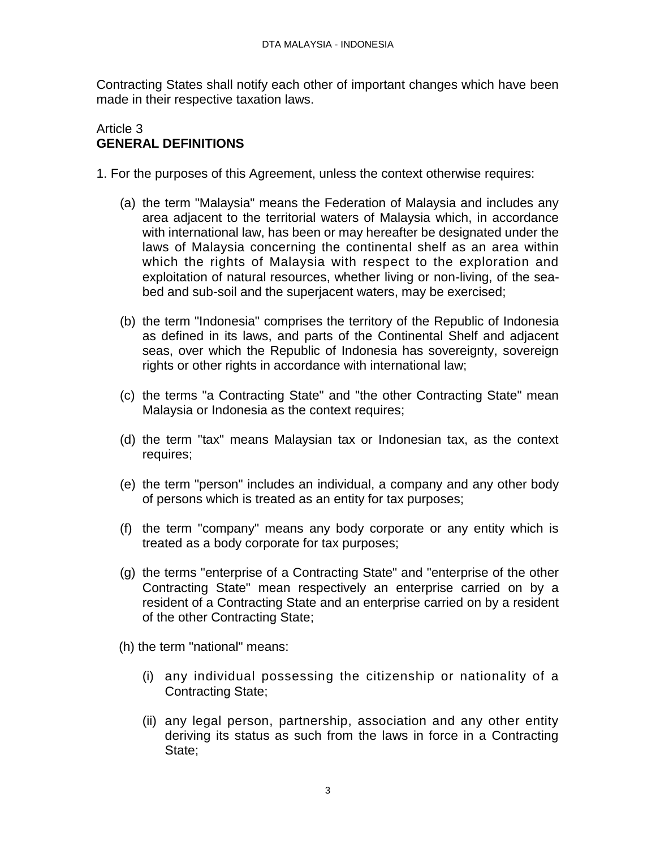Contracting States shall notify each other of important changes which have been made in their respective taxation laws.

# Article 3 **GENERAL DEFINITIONS**

- 1. For the purposes of this Agreement, unless the context otherwise requires:
	- (a) the term "Malaysia" means the Federation of Malaysia and includes any area adjacent to the territorial waters of Malaysia which, in accordance with international law, has been or may hereafter be designated under the laws of Malaysia concerning the continental shelf as an area within which the rights of Malaysia with respect to the exploration and exploitation of natural resources, whether living or non-living, of the seabed and sub-soil and the superjacent waters, may be exercised;
	- (b) the term "Indonesia" comprises the territory of the Republic of Indonesia as defined in its laws, and parts of the Continental Shelf and adjacent seas, over which the Republic of Indonesia has sovereignty, sovereign rights or other rights in accordance with international law;
	- (c) the terms "a Contracting State" and "the other Contracting State" mean Malaysia or Indonesia as the context requires;
	- (d) the term "tax" means Malaysian tax or Indonesian tax, as the context requires;
	- (e) the term "person" includes an individual, a company and any other body of persons which is treated as an entity for tax purposes;
	- (f) the term "company" means any body corporate or any entity which is treated as a body corporate for tax purposes;
	- (g) the terms "enterprise of a Contracting State" and "enterprise of the other Contracting State" mean respectively an enterprise carried on by a resident of a Contracting State and an enterprise carried on by a resident of the other Contracting State;
	- (h) the term "national" means:
		- (i) any individual possessing the citizenship or nationality of a Contracting State;
		- (ii) any legal person, partnership, association and any other entity deriving its status as such from the laws in force in a Contracting State;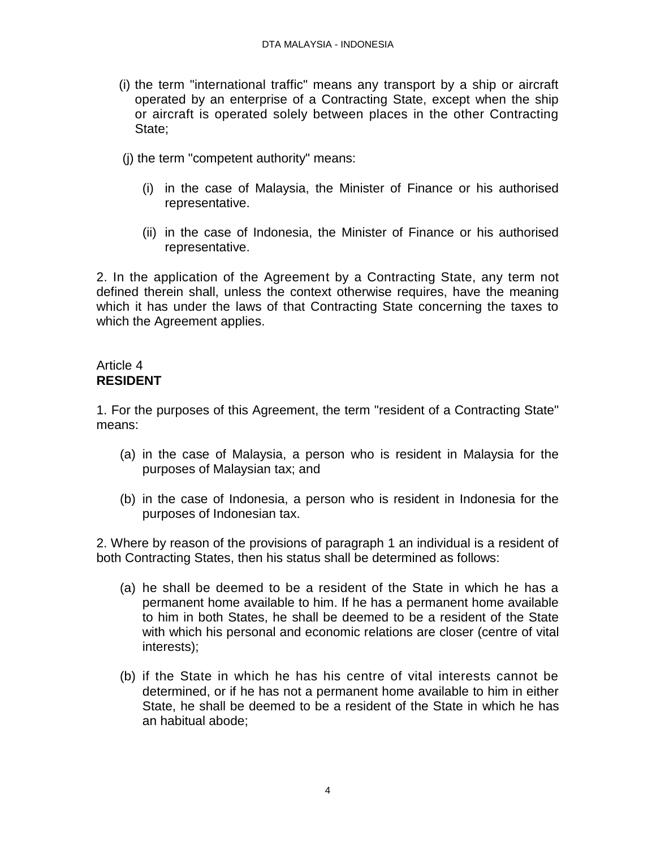- (i) the term "international traffic" means any transport by a ship or aircraft operated by an enterprise of a Contracting State, except when the ship or aircraft is operated solely between places in the other Contracting State;
- (j) the term "competent authority" means:
	- (i) in the case of Malaysia, the Minister of Finance or his authorised representative.
	- (ii) in the case of Indonesia, the Minister of Finance or his authorised representative.

2. In the application of the Agreement by a Contracting State, any term not defined therein shall, unless the context otherwise requires, have the meaning which it has under the laws of that Contracting State concerning the taxes to which the Agreement applies.

# Article 4 **RESIDENT**

1. For the purposes of this Agreement, the term "resident of a Contracting State" means:

- (a) in the case of Malaysia, a person who is resident in Malaysia for the purposes of Malaysian tax; and
- (b) in the case of Indonesia, a person who is resident in Indonesia for the purposes of Indonesian tax.

2. Where by reason of the provisions of paragraph 1 an individual is a resident of both Contracting States, then his status shall be determined as follows:

- (a) he shall be deemed to be a resident of the State in which he has a permanent home available to him. If he has a permanent home available to him in both States, he shall be deemed to be a resident of the State with which his personal and economic relations are closer (centre of vital interests);
- (b) if the State in which he has his centre of vital interests cannot be determined, or if he has not a permanent home available to him in either State, he shall be deemed to be a resident of the State in which he has an habitual abode;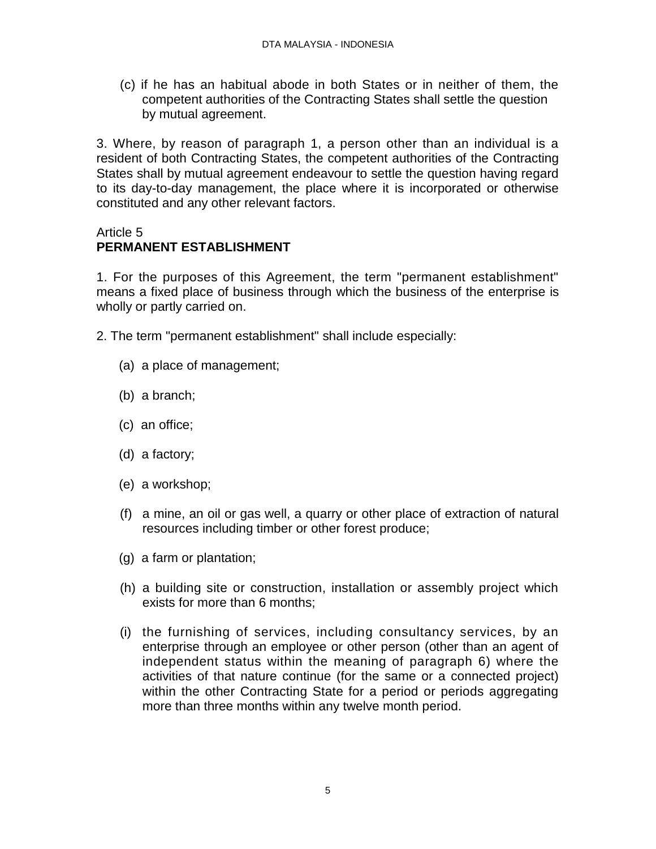(c) if he has an habitual abode in both States or in neither of them, the competent authorities of the Contracting States shall settle the question by mutual agreement.

3. Where, by reason of paragraph 1, a person other than an individual is a resident of both Contracting States, the competent authorities of the Contracting States shall by mutual agreement endeavour to settle the question having regard to its day-to-day management, the place where it is incorporated or otherwise constituted and any other relevant factors.

# Article 5

# **PERMANENT ESTABLISHMENT**

1. For the purposes of this Agreement, the term "permanent establishment" means a fixed place of business through which the business of the enterprise is wholly or partly carried on.

2. The term "permanent establishment" shall include especially:

- (a) a place of management;
- (b) a branch;
- (c) an office;
- (d) a factory;
- (e) a workshop;
- (f) a mine, an oil or gas well, a quarry or other place of extraction of natural resources including timber or other forest produce;
- (g) a farm or plantation;
- (h) a building site or construction, installation or assembly project which exists for more than 6 months;
- (i) the furnishing of services, including consultancy services, by an enterprise through an employee or other person (other than an agent of independent status within the meaning of paragraph 6) where the activities of that nature continue (for the same or a connected project) within the other Contracting State for a period or periods aggregating more than three months within any twelve month period.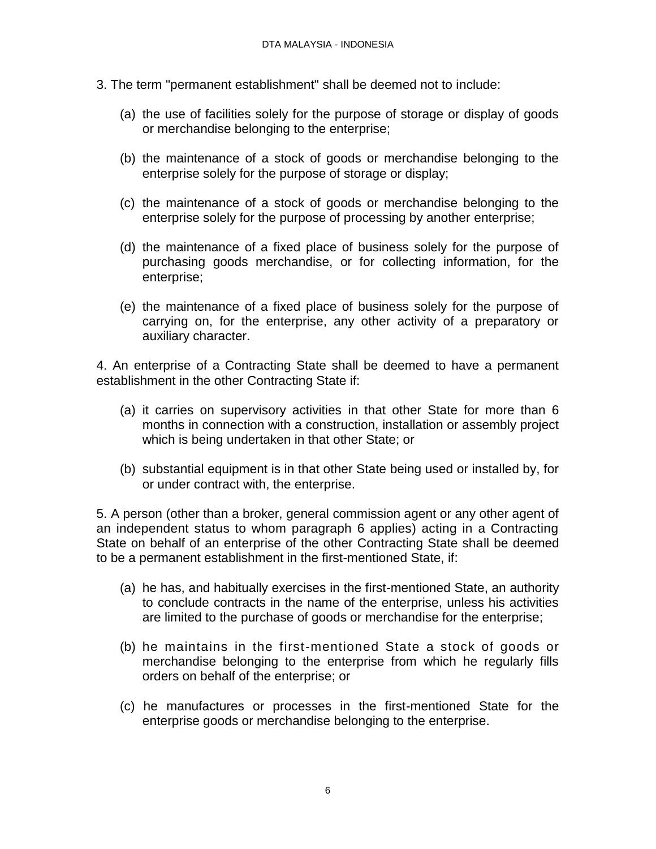- 3. The term "permanent establishment" shall be deemed not to include:
	- (a) the use of facilities solely for the purpose of storage or display of goods or merchandise belonging to the enterprise;
	- (b) the maintenance of a stock of goods or merchandise belonging to the enterprise solely for the purpose of storage or display;
	- (c) the maintenance of a stock of goods or merchandise belonging to the enterprise solely for the purpose of processing by another enterprise;
	- (d) the maintenance of a fixed place of business solely for the purpose of purchasing goods merchandise, or for collecting information, for the enterprise;
	- (e) the maintenance of a fixed place of business solely for the purpose of carrying on, for the enterprise, any other activity of a preparatory or auxiliary character.

4. An enterprise of a Contracting State shall be deemed to have a permanent establishment in the other Contracting State if:

- (a) it carries on supervisory activities in that other State for more than 6 months in connection with a construction, installation or assembly project which is being undertaken in that other State; or
- (b) substantial equipment is in that other State being used or installed by, for or under contract with, the enterprise.

5. A person (other than a broker, general commission agent or any other agent of an independent status to whom paragraph 6 applies) acting in a Contracting State on behalf of an enterprise of the other Contracting State shall be deemed to be a permanent establishment in the first-mentioned State, if:

- (a) he has, and habitually exercises in the first-mentioned State, an authority to conclude contracts in the name of the enterprise, unless his activities are limited to the purchase of goods or merchandise for the enterprise;
- (b) he maintains in the first-mentioned State a stock of goods or merchandise belonging to the enterprise from which he regularly fills orders on behalf of the enterprise; or
- (c) he manufactures or processes in the first-mentioned State for the enterprise goods or merchandise belonging to the enterprise.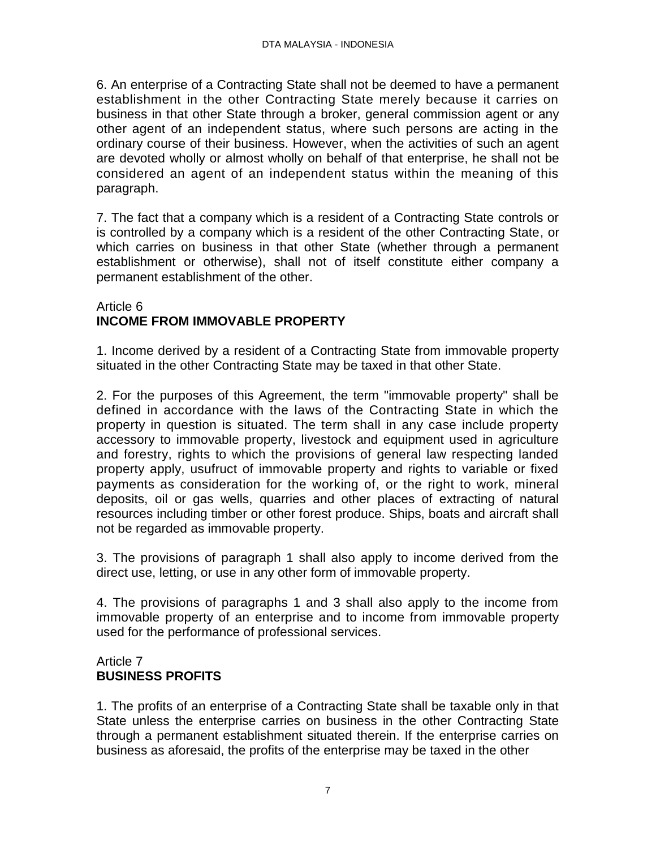6. An enterprise of a Contracting State shall not be deemed to have a permanent establishment in the other Contracting State merely because it carries on business in that other State through a broker, general commission agent or any other agent of an independent status, where such persons are acting in the ordinary course of their business. However, when the activities of such an agent are devoted wholly or almost wholly on behalf of that enterprise, he shall not be considered an agent of an independent status within the meaning of this paragraph.

7. The fact that a company which is a resident of a Contracting State controls or is controlled by a company which is a resident of the other Contracting State, or which carries on business in that other State (whether through a permanent establishment or otherwise), shall not of itself constitute either company a permanent establishment of the other.

### Article 6 **INCOME FROM IMMOVABLE PROPERTY**

1. Income derived by a resident of a Contracting State from immovable property situated in the other Contracting State may be taxed in that other State.

2. For the purposes of this Agreement, the term "immovable property" shall be defined in accordance with the laws of the Contracting State in which the property in question is situated. The term shall in any case include property accessory to immovable property, livestock and equipment used in agriculture and forestry, rights to which the provisions of general law respecting landed property apply, usufruct of immovable property and rights to variable or fixed payments as consideration for the working of, or the right to work, mineral deposits, oil or gas wells, quarries and other places of extracting of natural resources including timber or other forest produce. Ships, boats and aircraft shall not be regarded as immovable property.

3. The provisions of paragraph 1 shall also apply to income derived from the direct use, letting, or use in any other form of immovable property.

4. The provisions of paragraphs 1 and 3 shall also apply to the income from immovable property of an enterprise and to income from immovable property used for the performance of professional services.

# Article 7 **BUSINESS PROFITS**

1. The profits of an enterprise of a Contracting State shall be taxable only in that State unless the enterprise carries on business in the other Contracting State through a permanent establishment situated therein. If the enterprise carries on business as aforesaid, the profits of the enterprise may be taxed in the other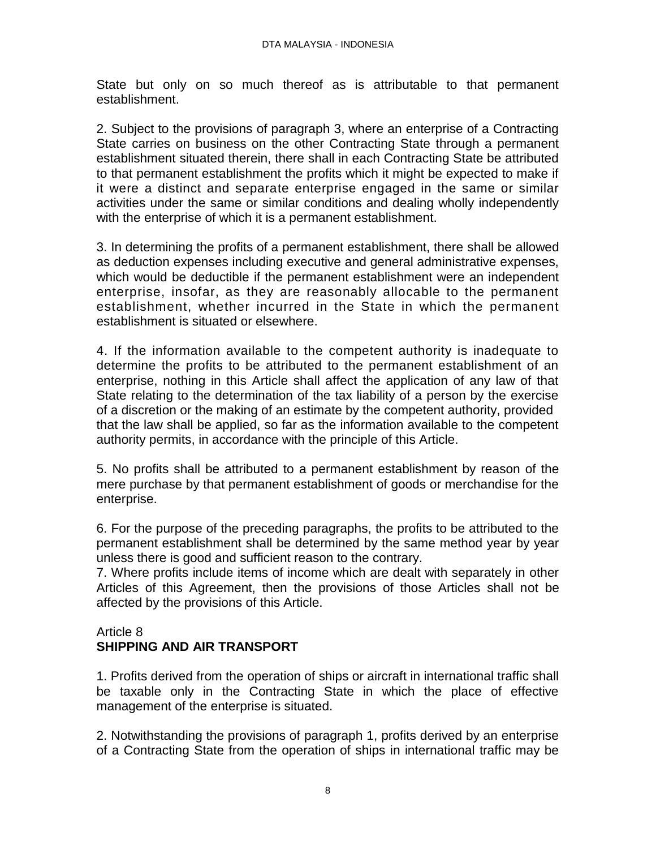State but only on so much thereof as is attributable to that permanent establishment.

2. Subject to the provisions of paragraph 3, where an enterprise of a Contracting State carries on business on the other Contracting State through a permanent establishment situated therein, there shall in each Contracting State be attributed to that permanent establishment the profits which it might be expected to make if it were a distinct and separate enterprise engaged in the same or similar activities under the same or similar conditions and dealing wholly independently with the enterprise of which it is a permanent establishment.

3. In determining the profits of a permanent establishment, there shall be allowed as deduction expenses including executive and general administrative expenses, which would be deductible if the permanent establishment were an independent enterprise, insofar, as they are reasonably allocable to the permanent establishment, whether incurred in the State in which the permanent establishment is situated or elsewhere.

4. If the information available to the competent authority is inadequate to determine the profits to be attributed to the permanent establishment of an enterprise, nothing in this Article shall affect the application of any law of that State relating to the determination of the tax liability of a person by the exercise of a discretion or the making of an estimate by the competent authority, provided that the law shall be applied, so far as the information available to the competent authority permits, in accordance with the principle of this Article.

5. No profits shall be attributed to a permanent establishment by reason of the mere purchase by that permanent establishment of goods or merchandise for the enterprise.

6. For the purpose of the preceding paragraphs, the profits to be attributed to the permanent establishment shall be determined by the same method year by year unless there is good and sufficient reason to the contrary.

7. Where profits include items of income which are dealt with separately in other Articles of this Agreement, then the provisions of those Articles shall not be affected by the provisions of this Article.

### Article 8 **SHIPPING AND AIR TRANSPORT**

1. Profits derived from the operation of ships or aircraft in international traffic shall be taxable only in the Contracting State in which the place of effective management of the enterprise is situated.

2. Notwithstanding the provisions of paragraph 1, profits derived by an enterprise of a Contracting State from the operation of ships in international traffic may be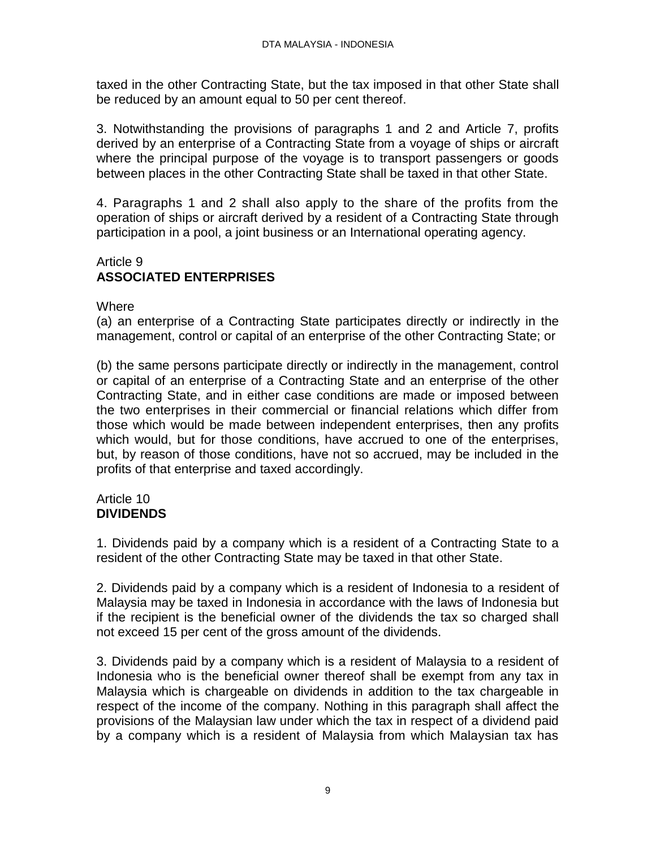taxed in the other Contracting State, but the tax imposed in that other State shall be reduced by an amount equal to 50 per cent thereof.

3. Notwithstanding the provisions of paragraphs 1 and 2 and Article 7, profits derived by an enterprise of a Contracting State from a voyage of ships or aircraft where the principal purpose of the voyage is to transport passengers or goods between places in the other Contracting State shall be taxed in that other State.

4. Paragraphs 1 and 2 shall also apply to the share of the profits from the operation of ships or aircraft derived by a resident of a Contracting State through participation in a pool, a joint business or an International operating agency.

# Article 9 **ASSOCIATED ENTERPRISES**

**Where** 

(a) an enterprise of a Contracting State participates directly or indirectly in the management, control or capital of an enterprise of the other Contracting State; or

(b) the same persons participate directly or indirectly in the management, control or capital of an enterprise of a Contracting State and an enterprise of the other Contracting State, and in either case conditions are made or imposed between the two enterprises in their commercial or financial relations which differ from those which would be made between independent enterprises, then any profits which would, but for those conditions, have accrued to one of the enterprises, but, by reason of those conditions, have not so accrued, may be included in the profits of that enterprise and taxed accordingly.

# Article 10 **DIVIDENDS**

1. Dividends paid by a company which is a resident of a Contracting State to a resident of the other Contracting State may be taxed in that other State.

2. Dividends paid by a company which is a resident of Indonesia to a resident of Malaysia may be taxed in Indonesia in accordance with the laws of Indonesia but if the recipient is the beneficial owner of the dividends the tax so charged shall not exceed 15 per cent of the gross amount of the dividends.

3. Dividends paid by a company which is a resident of Malaysia to a resident of Indonesia who is the beneficial owner thereof shall be exempt from any tax in Malaysia which is chargeable on dividends in addition to the tax chargeable in respect of the income of the company. Nothing in this paragraph shall affect the provisions of the Malaysian law under which the tax in respect of a dividend paid by a company which is a resident of Malaysia from which Malaysian tax has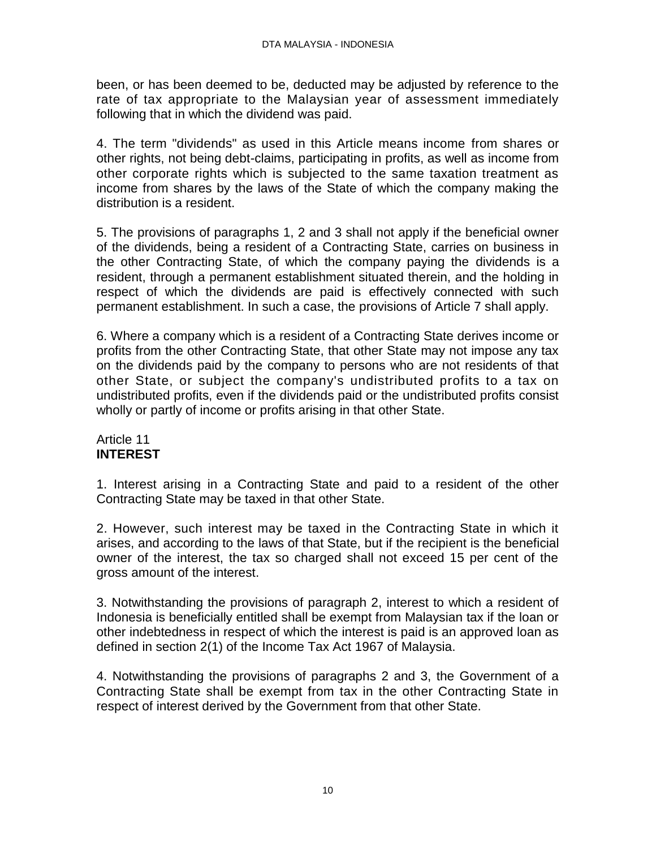been, or has been deemed to be, deducted may be adjusted by reference to the rate of tax appropriate to the Malaysian year of assessment immediately following that in which the dividend was paid.

4. The term "dividends" as used in this Article means income from shares or other rights, not being debt-claims, participating in profits, as well as income from other corporate rights which is subjected to the same taxation treatment as income from shares by the laws of the State of which the company making the distribution is a resident.

5. The provisions of paragraphs 1, 2 and 3 shall not apply if the beneficial owner of the dividends, being a resident of a Contracting State, carries on business in the other Contracting State, of which the company paying the dividends is a resident, through a permanent establishment situated therein, and the holding in respect of which the dividends are paid is effectively connected with such permanent establishment. In such a case, the provisions of Article 7 shall apply.

6. Where a company which is a resident of a Contracting State derives income or profits from the other Contracting State, that other State may not impose any tax on the dividends paid by the company to persons who are not residents of that other State, or subject the company's undistributed profits to a tax on undistributed profits, even if the dividends paid or the undistributed profits consist wholly or partly of income or profits arising in that other State.

# Article 11 **INTEREST**

1. Interest arising in a Contracting State and paid to a resident of the other Contracting State may be taxed in that other State.

2. However, such interest may be taxed in the Contracting State in which it arises, and according to the laws of that State, but if the recipient is the beneficial owner of the interest, the tax so charged shall not exceed 15 per cent of the gross amount of the interest.

3. Notwithstanding the provisions of paragraph 2, interest to which a resident of Indonesia is beneficially entitled shall be exempt from Malaysian tax if the loan or other indebtedness in respect of which the interest is paid is an approved loan as defined in section 2(1) of the Income Tax Act 1967 of Malaysia.

4. Notwithstanding the provisions of paragraphs 2 and 3, the Government of a Contracting State shall be exempt from tax in the other Contracting State in respect of interest derived by the Government from that other State.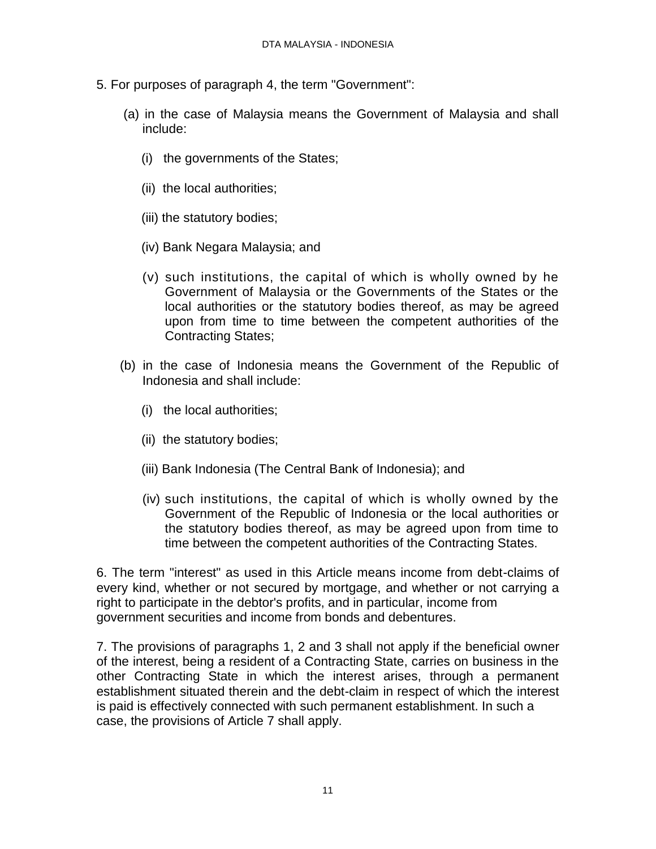- 5. For purposes of paragraph 4, the term "Government":
	- (a) in the case of Malaysia means the Government of Malaysia and shall include:
		- (i) the governments of the States;
		- (ii) the local authorities;
		- (iii) the statutory bodies;
		- (iv) Bank Negara Malaysia; and
		- (v) such institutions, the capital of which is wholly owned by he Government of Malaysia or the Governments of the States or the local authorities or the statutory bodies thereof, as may be agreed upon from time to time between the competent authorities of the Contracting States;
	- (b) in the case of Indonesia means the Government of the Republic of Indonesia and shall include:
		- (i) the local authorities;
		- (ii) the statutory bodies;
		- (iii) Bank Indonesia (The Central Bank of Indonesia); and
		- (iv) such institutions, the capital of which is wholly owned by the Government of the Republic of Indonesia or the local authorities or the statutory bodies thereof, as may be agreed upon from time to time between the competent authorities of the Contracting States.

6. The term "interest" as used in this Article means income from debt-claims of every kind, whether or not secured by mortgage, and whether or not carrying a right to participate in the debtor's profits, and in particular, income from government securities and income from bonds and debentures.

7. The provisions of paragraphs 1, 2 and 3 shall not apply if the beneficial owner of the interest, being a resident of a Contracting State, carries on business in the other Contracting State in which the interest arises, through a permanent establishment situated therein and the debt-claim in respect of which the interest is paid is effectively connected with such permanent establishment. In such a case, the provisions of Article 7 shall apply.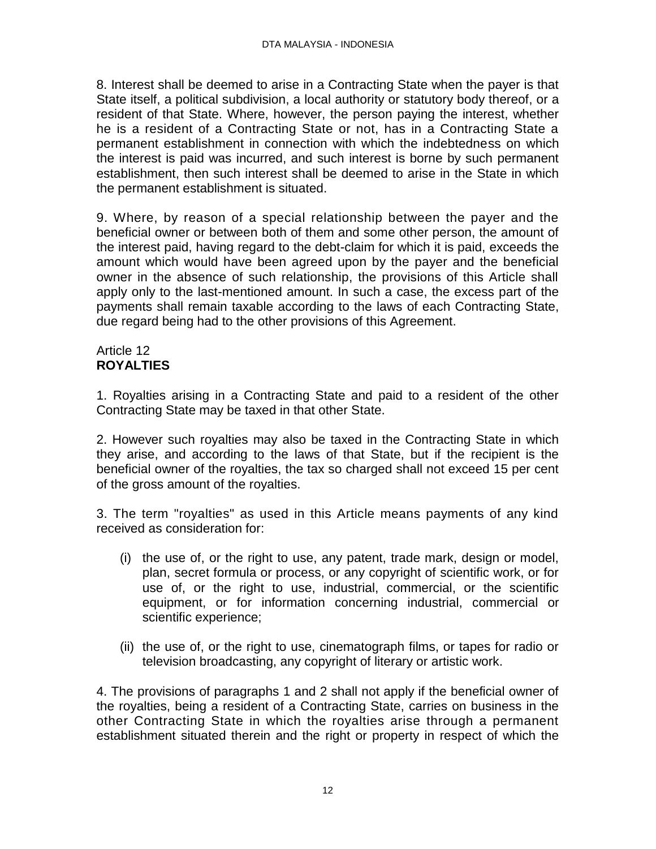8. Interest shall be deemed to arise in a Contracting State when the payer is that State itself, a political subdivision, a local authority or statutory body thereof, or a resident of that State. Where, however, the person paying the interest, whether he is a resident of a Contracting State or not, has in a Contracting State a permanent establishment in connection with which the indebtedness on which the interest is paid was incurred, and such interest is borne by such permanent establishment, then such interest shall be deemed to arise in the State in which the permanent establishment is situated.

9. Where, by reason of a special relationship between the payer and the beneficial owner or between both of them and some other person, the amount of the interest paid, having regard to the debt-claim for which it is paid, exceeds the amount which would have been agreed upon by the payer and the beneficial owner in the absence of such relationship, the provisions of this Article shall apply only to the last-mentioned amount. In such a case, the excess part of the payments shall remain taxable according to the laws of each Contracting State, due regard being had to the other provisions of this Agreement.

# Article 12 **ROYALTIES**

1. Royalties arising in a Contracting State and paid to a resident of the other Contracting State may be taxed in that other State.

2. However such royalties may also be taxed in the Contracting State in which they arise, and according to the laws of that State, but if the recipient is the beneficial owner of the royalties, the tax so charged shall not exceed 15 per cent of the gross amount of the royalties.

3. The term "royalties" as used in this Article means payments of any kind received as consideration for:

- (i) the use of, or the right to use, any patent, trade mark, design or model, plan, secret formula or process, or any copyright of scientific work, or for use of, or the right to use, industrial, commercial, or the scientific equipment, or for information concerning industrial, commercial or scientific experience;
- (ii) the use of, or the right to use, cinematograph films, or tapes for radio or television broadcasting, any copyright of literary or artistic work.

4. The provisions of paragraphs 1 and 2 shall not apply if the beneficial owner of the royalties, being a resident of a Contracting State, carries on business in the other Contracting State in which the royalties arise through a permanent establishment situated therein and the right or property in respect of which the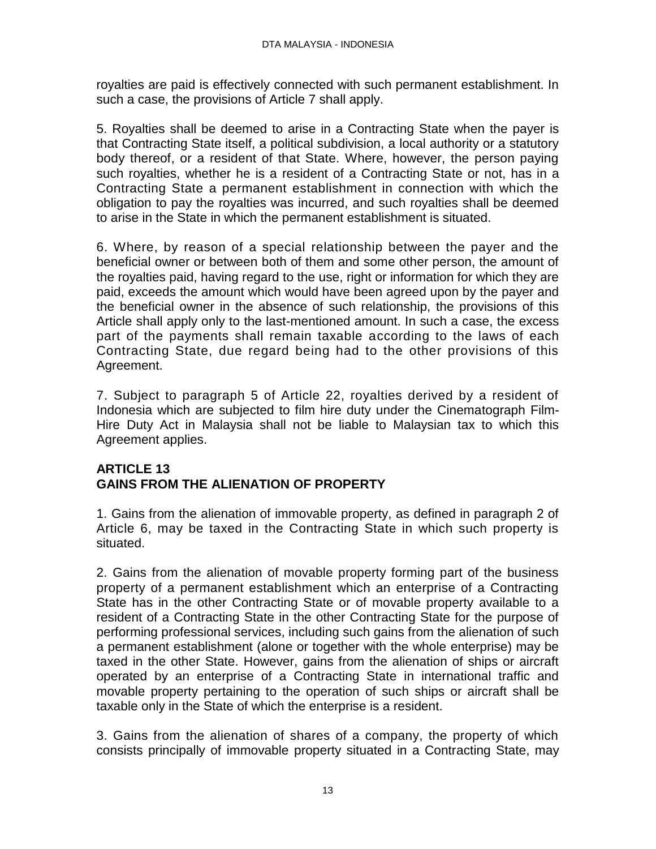royalties are paid is effectively connected with such permanent establishment. In such a case, the provisions of Article 7 shall apply.

5. Royalties shall be deemed to arise in a Contracting State when the payer is that Contracting State itself, a political subdivision, a local authority or a statutory body thereof, or a resident of that State. Where, however, the person paying such royalties, whether he is a resident of a Contracting State or not, has in a Contracting State a permanent establishment in connection with which the obligation to pay the royalties was incurred, and such royalties shall be deemed to arise in the State in which the permanent establishment is situated.

6. Where, by reason of a special relationship between the payer and the beneficial owner or between both of them and some other person, the amount of the royalties paid, having regard to the use, right or information for which they are paid, exceeds the amount which would have been agreed upon by the payer and the beneficial owner in the absence of such relationship, the provisions of this Article shall apply only to the last-mentioned amount. In such a case, the excess part of the payments shall remain taxable according to the laws of each Contracting State, due regard being had to the other provisions of this Agreement.

7. Subject to paragraph 5 of Article 22, royalties derived by a resident of Indonesia which are subjected to film hire duty under the Cinematograph Film-Hire Duty Act in Malaysia shall not be liable to Malaysian tax to which this Agreement applies.

# **ARTICLE 13 GAINS FROM THE ALIENATION OF PROPERTY**

1. Gains from the alienation of immovable property, as defined in paragraph 2 of Article 6, may be taxed in the Contracting State in which such property is situated.

2. Gains from the alienation of movable property forming part of the business property of a permanent establishment which an enterprise of a Contracting State has in the other Contracting State or of movable property available to a resident of a Contracting State in the other Contracting State for the purpose of performing professional services, including such gains from the alienation of such a permanent establishment (alone or together with the whole enterprise) may be taxed in the other State. However, gains from the alienation of ships or aircraft operated by an enterprise of a Contracting State in international traffic and movable property pertaining to the operation of such ships or aircraft shall be taxable only in the State of which the enterprise is a resident.

3. Gains from the alienation of shares of a company, the property of which consists principally of immovable property situated in a Contracting State, may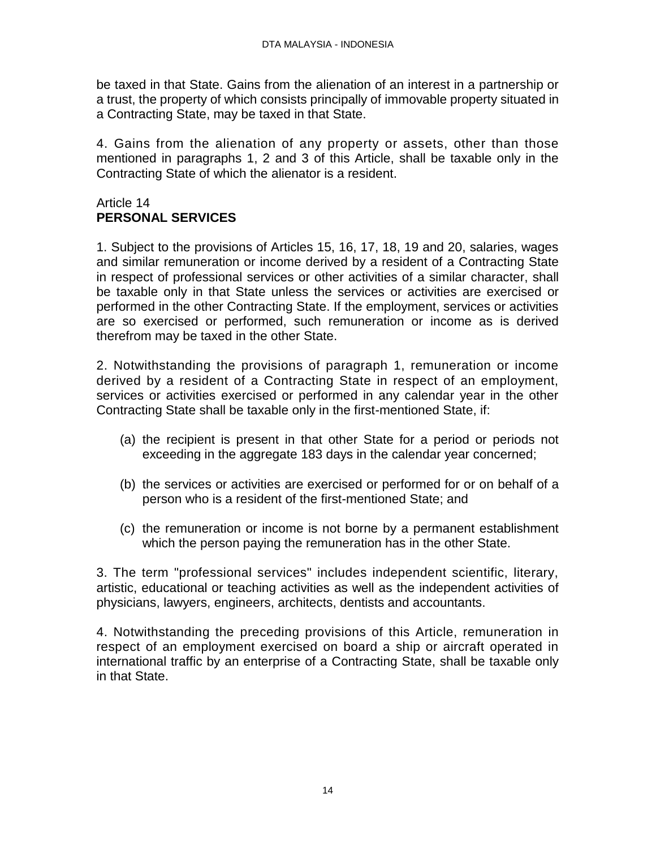be taxed in that State. Gains from the alienation of an interest in a partnership or a trust, the property of which consists principally of immovable property situated in a Contracting State, may be taxed in that State.

4. Gains from the alienation of any property or assets, other than those mentioned in paragraphs 1, 2 and 3 of this Article, shall be taxable only in the Contracting State of which the alienator is a resident.

### Article 14 **PERSONAL SERVICES**

1. Subject to the provisions of Articles 15, 16, 17, 18, 19 and 20, salaries, wages and similar remuneration or income derived by a resident of a Contracting State in respect of professional services or other activities of a similar character, shall be taxable only in that State unless the services or activities are exercised or performed in the other Contracting State. If the employment, services or activities are so exercised or performed, such remuneration or income as is derived therefrom may be taxed in the other State.

2. Notwithstanding the provisions of paragraph 1, remuneration or income derived by a resident of a Contracting State in respect of an employment, services or activities exercised or performed in any calendar year in the other Contracting State shall be taxable only in the first-mentioned State, if:

- (a) the recipient is present in that other State for a period or periods not exceeding in the aggregate 183 days in the calendar year concerned;
- (b) the services or activities are exercised or performed for or on behalf of a person who is a resident of the first-mentioned State; and
- (c) the remuneration or income is not borne by a permanent establishment which the person paying the remuneration has in the other State.

3. The term "professional services" includes independent scientific, literary, artistic, educational or teaching activities as well as the independent activities of physicians, lawyers, engineers, architects, dentists and accountants.

4. Notwithstanding the preceding provisions of this Article, remuneration in respect of an employment exercised on board a ship or aircraft operated in international traffic by an enterprise of a Contracting State, shall be taxable only in that State.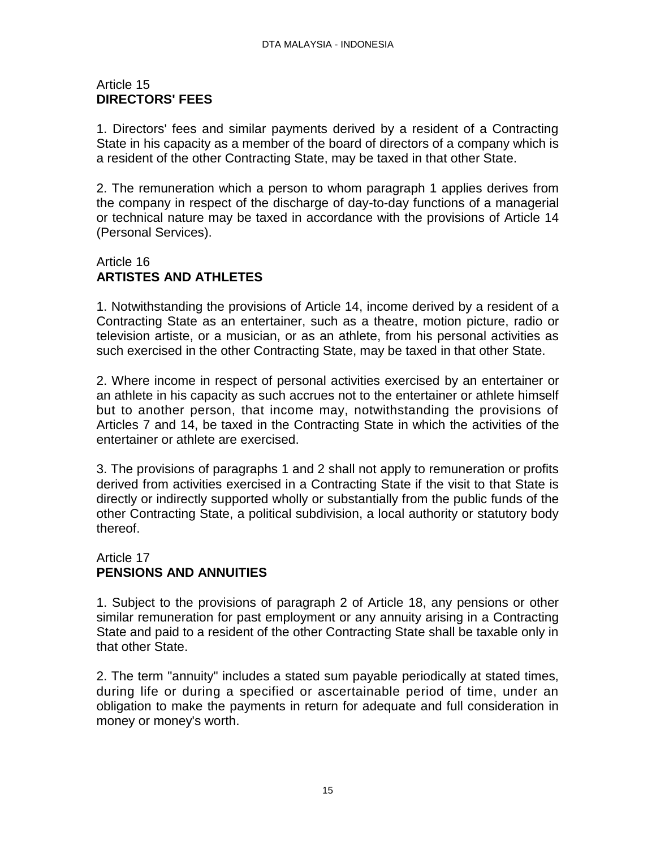# Article 15 **DIRECTORS' FEES**

1. Directors' fees and similar payments derived by a resident of a Contracting State in his capacity as a member of the board of directors of a company which is a resident of the other Contracting State, may be taxed in that other State.

2. The remuneration which a person to whom paragraph 1 applies derives from the company in respect of the discharge of day-to-day functions of a managerial or technical nature may be taxed in accordance with the provisions of Article 14 (Personal Services).

# Article 16 **ARTISTES AND ATHLETES**

1. Notwithstanding the provisions of Article 14, income derived by a resident of a Contracting State as an entertainer, such as a theatre, motion picture, radio or television artiste, or a musician, or as an athlete, from his personal activities as such exercised in the other Contracting State, may be taxed in that other State.

2. Where income in respect of personal activities exercised by an entertainer or an athlete in his capacity as such accrues not to the entertainer or athlete himself but to another person, that income may, notwithstanding the provisions of Articles 7 and 14, be taxed in the Contracting State in which the activities of the entertainer or athlete are exercised.

3. The provisions of paragraphs 1 and 2 shall not apply to remuneration or profits derived from activities exercised in a Contracting State if the visit to that State is directly or indirectly supported wholly or substantially from the public funds of the other Contracting State, a political subdivision, a local authority or statutory body thereof.

# Article 17 **PENSIONS AND ANNUITIES**

1. Subject to the provisions of paragraph 2 of Article 18, any pensions or other similar remuneration for past employment or any annuity arising in a Contracting State and paid to a resident of the other Contracting State shall be taxable only in that other State.

2. The term "annuity" includes a stated sum payable periodically at stated times, during life or during a specified or ascertainable period of time, under an obligation to make the payments in return for adequate and full consideration in money or money's worth.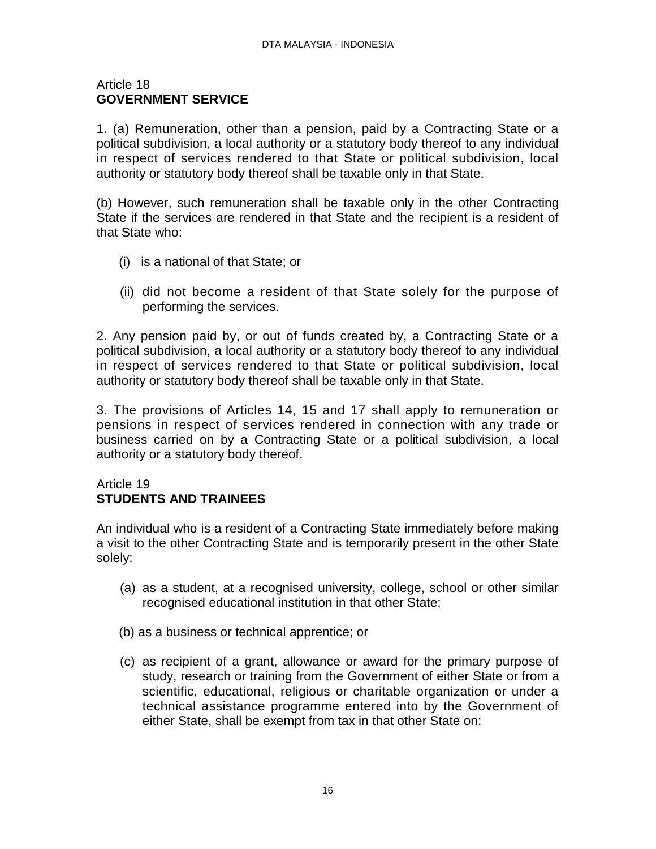### Article 18 **GOVERNMENT SERVICE**

1. (a) Remuneration, other than a pension, paid by a Contracting State or a political subdivision, a local authority or a statutory body thereof to any individual in respect of services rendered to that State or political subdivision, local authority or statutory body thereof shall be taxable only in that State.

(b) However, such remuneration shall be taxable only in the other Contracting State if the services are rendered in that State and the recipient is a resident of that State who:

- (i) is a national of that State; or
- (ii) did not become a resident of that State solely for the purpose of performing the services.

2. Any pension paid by, or out of funds created by, a Contracting State or a political subdivision, a local authority or a statutory body thereof to any individual in respect of services rendered to that State or political subdivision, local authority or statutory body thereof shall be taxable only in that State.

3. The provisions of Articles 14, 15 and 17 shall apply to remuneration or pensions in respect of services rendered in connection with any trade or business carried on by a Contracting State or a political subdivision, a local authority or a statutory body thereof.

### Article 19 **STUDENTS AND TRAINEES**

An individual who is a resident of a Contracting State immediately before making a visit to the other Contracting State and is temporarily present in the other State solely:

- (a) as a student, at a recognised university, college, school or other similar recognised educational institution in that other State;
- (b) as a business or technical apprentice; or
- (c) as recipient of a grant, allowance or award for the primary purpose of study, research or training from the Government of either State or from a scientific, educational, religious or charitable organization or under a technical assistance programme entered into by the Government of either State, shall be exempt from tax in that other State on: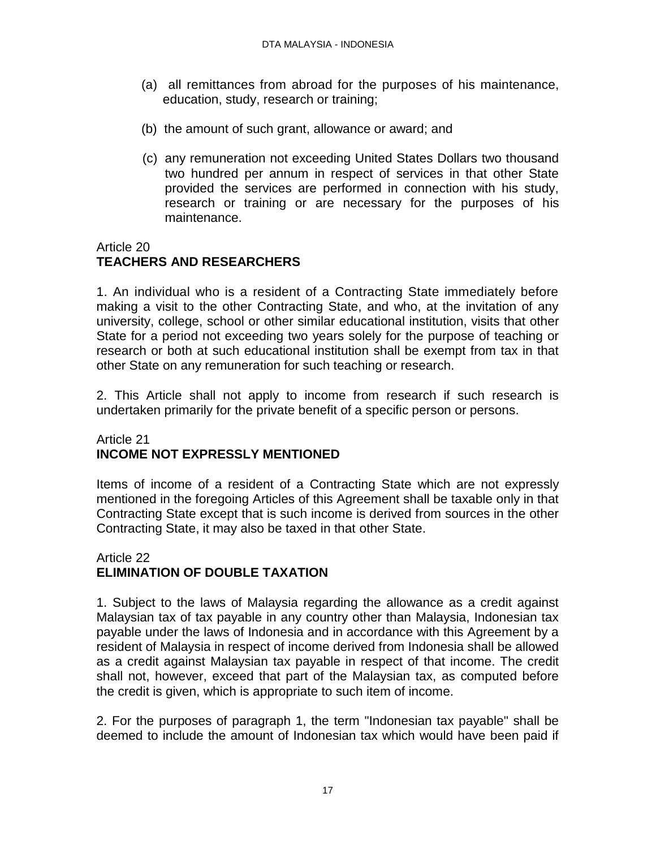- (a) all remittances from abroad for the purposes of his maintenance, education, study, research or training;
- (b) the amount of such grant, allowance or award; and
- (c) any remuneration not exceeding United States Dollars two thousand two hundred per annum in respect of services in that other State provided the services are performed in connection with his study, research or training or are necessary for the purposes of his maintenance.

# Article 20

# **TEACHERS AND RESEARCHERS**

1. An individual who is a resident of a Contracting State immediately before making a visit to the other Contracting State, and who, at the invitation of any university, college, school or other similar educational institution, visits that other State for a period not exceeding two years solely for the purpose of teaching or research or both at such educational institution shall be exempt from tax in that other State on any remuneration for such teaching or research.

2. This Article shall not apply to income from research if such research is undertaken primarily for the private benefit of a specific person or persons.

# Article 21 **INCOME NOT EXPRESSLY MENTIONED**

Items of income of a resident of a Contracting State which are not expressly mentioned in the foregoing Articles of this Agreement shall be taxable only in that Contracting State except that is such income is derived from sources in the other Contracting State, it may also be taxed in that other State.

### Article 22 **ELIMINATION OF DOUBLE TAXATION**

1. Subject to the laws of Malaysia regarding the allowance as a credit against Malaysian tax of tax payable in any country other than Malaysia, Indonesian tax payable under the laws of Indonesia and in accordance with this Agreement by a resident of Malaysia in respect of income derived from Indonesia shall be allowed as a credit against Malaysian tax payable in respect of that income. The credit shall not, however, exceed that part of the Malaysian tax, as computed before the credit is given, which is appropriate to such item of income.

2. For the purposes of paragraph 1, the term "Indonesian tax payable" shall be deemed to include the amount of Indonesian tax which would have been paid if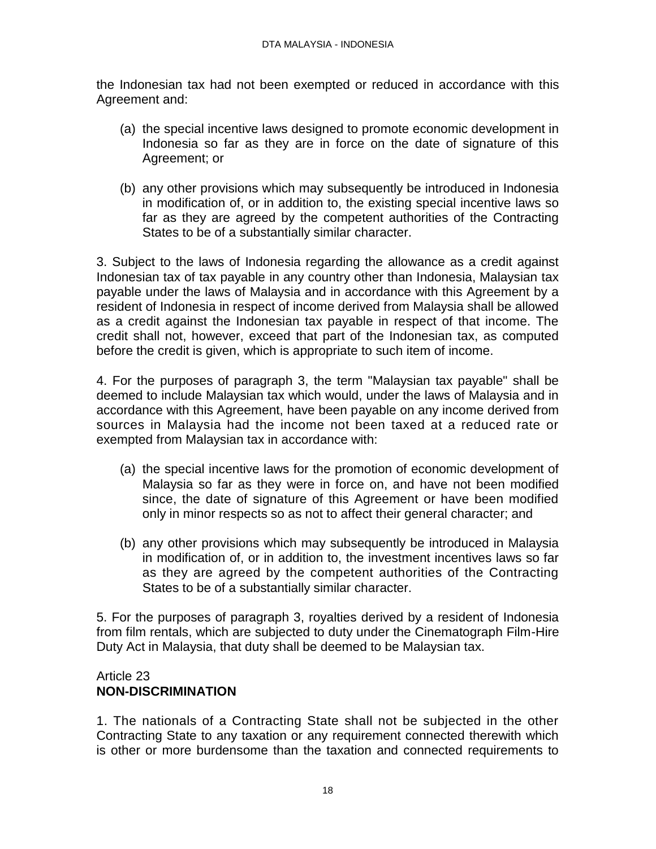the Indonesian tax had not been exempted or reduced in accordance with this Agreement and:

- (a) the special incentive laws designed to promote economic development in Indonesia so far as they are in force on the date of signature of this Agreement; or
- (b) any other provisions which may subsequently be introduced in Indonesia in modification of, or in addition to, the existing special incentive laws so far as they are agreed by the competent authorities of the Contracting States to be of a substantially similar character.

3. Subject to the laws of Indonesia regarding the allowance as a credit against Indonesian tax of tax payable in any country other than Indonesia, Malaysian tax payable under the laws of Malaysia and in accordance with this Agreement by a resident of Indonesia in respect of income derived from Malaysia shall be allowed as a credit against the Indonesian tax payable in respect of that income. The credit shall not, however, exceed that part of the Indonesian tax, as computed before the credit is given, which is appropriate to such item of income.

4. For the purposes of paragraph 3, the term "Malaysian tax payable" shall be deemed to include Malaysian tax which would, under the laws of Malaysia and in accordance with this Agreement, have been payable on any income derived from sources in Malaysia had the income not been taxed at a reduced rate or exempted from Malaysian tax in accordance with:

- (a) the special incentive laws for the promotion of economic development of Malaysia so far as they were in force on, and have not been modified since, the date of signature of this Agreement or have been modified only in minor respects so as not to affect their general character; and
- (b) any other provisions which may subsequently be introduced in Malaysia in modification of, or in addition to, the investment incentives laws so far as they are agreed by the competent authorities of the Contracting States to be of a substantially similar character.

5. For the purposes of paragraph 3, royalties derived by a resident of Indonesia from film rentals, which are subjected to duty under the Cinematograph Film-Hire Duty Act in Malaysia, that duty shall be deemed to be Malaysian tax.

### Article 23 **NON-DISCRIMINATION**

1. The nationals of a Contracting State shall not be subjected in the other Contracting State to any taxation or any requirement connected therewith which is other or more burdensome than the taxation and connected requirements to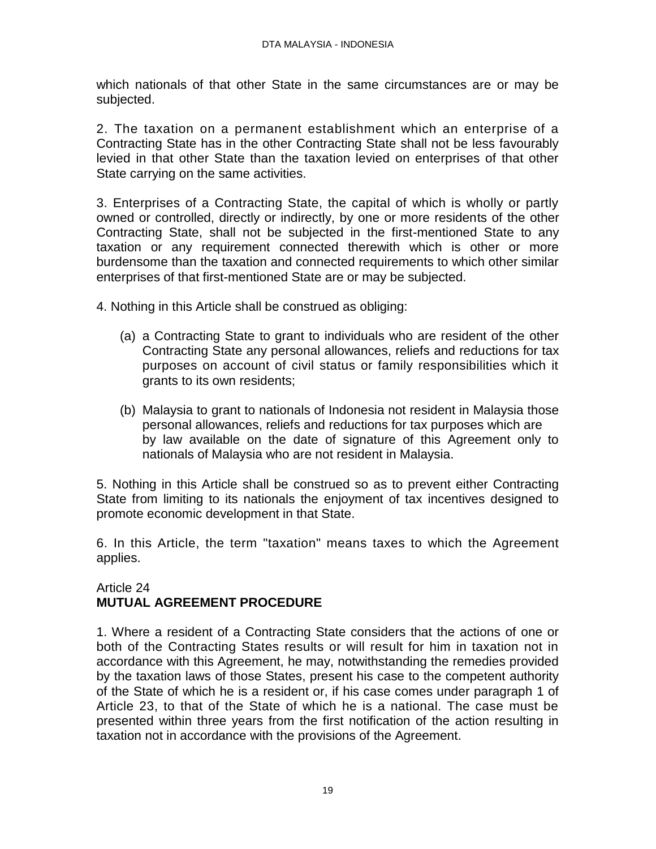which nationals of that other State in the same circumstances are or may be subjected.

2. The taxation on a permanent establishment which an enterprise of a Contracting State has in the other Contracting State shall not be less favourably levied in that other State than the taxation levied on enterprises of that other State carrying on the same activities.

3. Enterprises of a Contracting State, the capital of which is wholly or partly owned or controlled, directly or indirectly, by one or more residents of the other Contracting State, shall not be subjected in the first-mentioned State to any taxation or any requirement connected therewith which is other or more burdensome than the taxation and connected requirements to which other similar enterprises of that first-mentioned State are or may be subjected.

4. Nothing in this Article shall be construed as obliging:

- (a) a Contracting State to grant to individuals who are resident of the other Contracting State any personal allowances, reliefs and reductions for tax purposes on account of civil status or family responsibilities which it grants to its own residents;
- (b) Malaysia to grant to nationals of Indonesia not resident in Malaysia those personal allowances, reliefs and reductions for tax purposes which are by law available on the date of signature of this Agreement only to nationals of Malaysia who are not resident in Malaysia.

5. Nothing in this Article shall be construed so as to prevent either Contracting State from limiting to its nationals the enjoyment of tax incentives designed to promote economic development in that State.

6. In this Article, the term "taxation" means taxes to which the Agreement applies.

# Article 24 **MUTUAL AGREEMENT PROCEDURE**

1. Where a resident of a Contracting State considers that the actions of one or both of the Contracting States results or will result for him in taxation not in accordance with this Agreement, he may, notwithstanding the remedies provided by the taxation laws of those States, present his case to the competent authority of the State of which he is a resident or, if his case comes under paragraph 1 of Article 23, to that of the State of which he is a national. The case must be presented within three years from the first notification of the action resulting in taxation not in accordance with the provisions of the Agreement.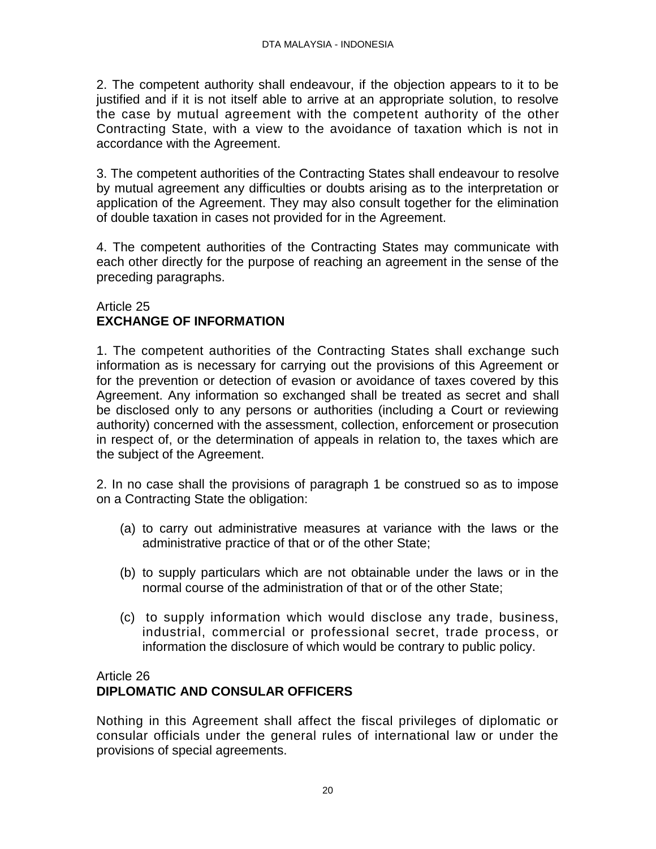2. The competent authority shall endeavour, if the objection appears to it to be justified and if it is not itself able to arrive at an appropriate solution, to resolve the case by mutual agreement with the competent authority of the other Contracting State, with a view to the avoidance of taxation which is not in accordance with the Agreement.

3. The competent authorities of the Contracting States shall endeavour to resolve by mutual agreement any difficulties or doubts arising as to the interpretation or application of the Agreement. They may also consult together for the elimination of double taxation in cases not provided for in the Agreement.

4. The competent authorities of the Contracting States may communicate with each other directly for the purpose of reaching an agreement in the sense of the preceding paragraphs.

### Article 25 **EXCHANGE OF INFORMATION**

1. The competent authorities of the Contracting States shall exchange such information as is necessary for carrying out the provisions of this Agreement or for the prevention or detection of evasion or avoidance of taxes covered by this Agreement. Any information so exchanged shall be treated as secret and shall be disclosed only to any persons or authorities (including a Court or reviewing authority) concerned with the assessment, collection, enforcement or prosecution in respect of, or the determination of appeals in relation to, the taxes which are the subject of the Agreement.

2. In no case shall the provisions of paragraph 1 be construed so as to impose on a Contracting State the obligation:

- (a) to carry out administrative measures at variance with the laws or the administrative practice of that or of the other State;
- (b) to supply particulars which are not obtainable under the laws or in the normal course of the administration of that or of the other State;
- (c) to supply information which would disclose any trade, business, industrial, commercial or professional secret, trade process, or information the disclosure of which would be contrary to public policy.

### Article 26

# **DIPLOMATIC AND CONSULAR OFFICERS**

Nothing in this Agreement shall affect the fiscal privileges of diplomatic or consular officials under the general rules of international law or under the provisions of special agreements.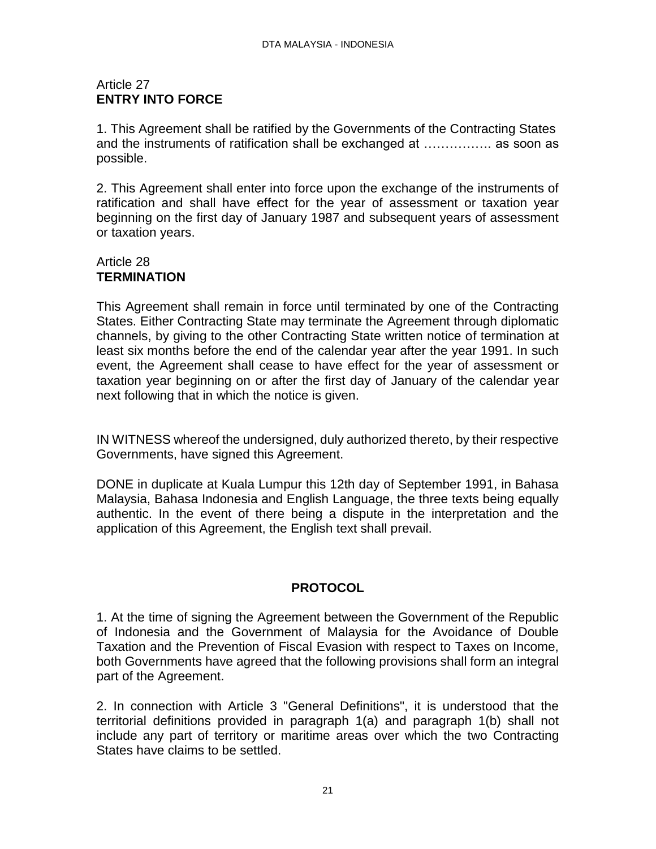# Article 27 **ENTRY INTO FORCE**

1. This Agreement shall be ratified by the Governments of the Contracting States and the instruments of ratification shall be exchanged at ……………. as soon as possible.

2. This Agreement shall enter into force upon the exchange of the instruments of ratification and shall have effect for the year of assessment or taxation year beginning on the first day of January 1987 and subsequent years of assessment or taxation years.

# Article 28 **TERMINATION**

This Agreement shall remain in force until terminated by one of the Contracting States. Either Contracting State may terminate the Agreement through diplomatic channels, by giving to the other Contracting State written notice of termination at least six months before the end of the calendar year after the year 1991. In such event, the Agreement shall cease to have effect for the year of assessment or taxation year beginning on or after the first day of January of the calendar year next following that in which the notice is given.

IN WITNESS whereof the undersigned, duly authorized thereto, by their respective Governments, have signed this Agreement.

DONE in duplicate at Kuala Lumpur this 12th day of September 1991, in Bahasa Malaysia, Bahasa Indonesia and English Language, the three texts being equally authentic. In the event of there being a dispute in the interpretation and the application of this Agreement, the English text shall prevail.

# **PROTOCOL**

1. At the time of signing the Agreement between the Government of the Republic of Indonesia and the Government of Malaysia for the Avoidance of Double Taxation and the Prevention of Fiscal Evasion with respect to Taxes on Income, both Governments have agreed that the following provisions shall form an integral part of the Agreement.

2. In connection with Article 3 "General Definitions", it is understood that the territorial definitions provided in paragraph 1(a) and paragraph 1(b) shall not include any part of territory or maritime areas over which the two Contracting States have claims to be settled.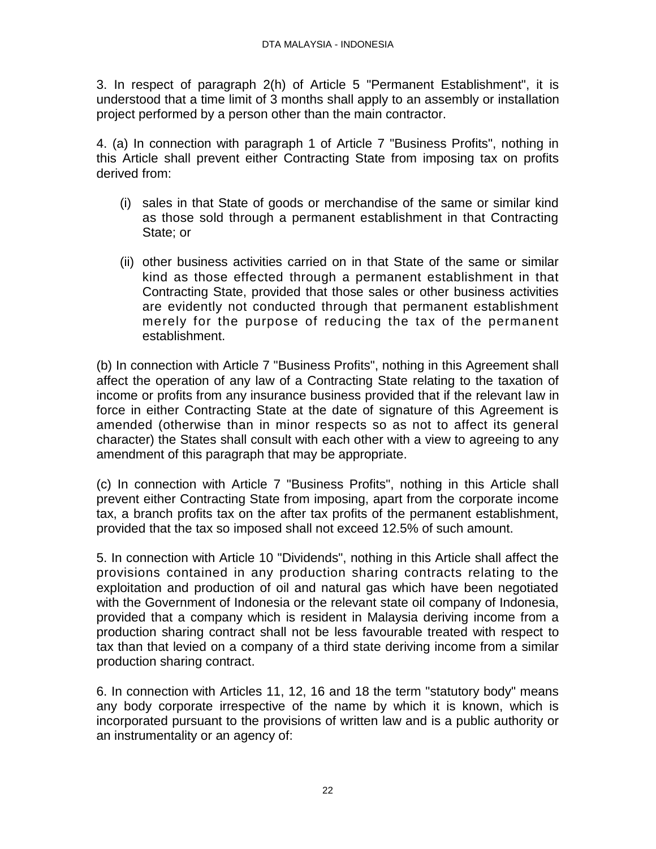3. In respect of paragraph 2(h) of Article 5 "Permanent Establishment", it is understood that a time limit of 3 months shall apply to an assembly or installation project performed by a person other than the main contractor.

4. (a) In connection with paragraph 1 of Article 7 "Business Profits", nothing in this Article shall prevent either Contracting State from imposing tax on profits derived from:

- (i) sales in that State of goods or merchandise of the same or similar kind as those sold through a permanent establishment in that Contracting State; or
- (ii) other business activities carried on in that State of the same or similar kind as those effected through a permanent establishment in that Contracting State, provided that those sales or other business activities are evidently not conducted through that permanent establishment merely for the purpose of reducing the tax of the permanent establishment.

(b) In connection with Article 7 "Business Profits", nothing in this Agreement shall affect the operation of any law of a Contracting State relating to the taxation of income or profits from any insurance business provided that if the relevant law in force in either Contracting State at the date of signature of this Agreement is amended (otherwise than in minor respects so as not to affect its general character) the States shall consult with each other with a view to agreeing to any amendment of this paragraph that may be appropriate.

(c) In connection with Article 7 "Business Profits", nothing in this Article shall prevent either Contracting State from imposing, apart from the corporate income tax, a branch profits tax on the after tax profits of the permanent establishment, provided that the tax so imposed shall not exceed 12.5% of such amount.

5. In connection with Article 10 "Dividends", nothing in this Article shall affect the provisions contained in any production sharing contracts relating to the exploitation and production of oil and natural gas which have been negotiated with the Government of Indonesia or the relevant state oil company of Indonesia, provided that a company which is resident in Malaysia deriving income from a production sharing contract shall not be less favourable treated with respect to tax than that levied on a company of a third state deriving income from a similar production sharing contract.

6. In connection with Articles 11, 12, 16 and 18 the term "statutory body" means any body corporate irrespective of the name by which it is known, which is incorporated pursuant to the provisions of written law and is a public authority or an instrumentality or an agency of: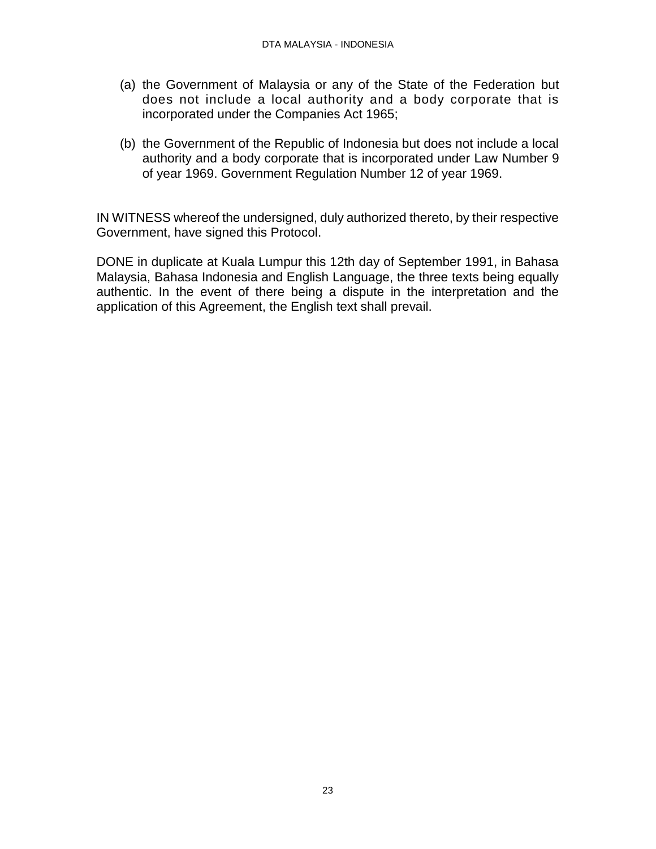- (a) the Government of Malaysia or any of the State of the Federation but does not include a local authority and a body corporate that is incorporated under the Companies Act 1965;
- (b) the Government of the Republic of Indonesia but does not include a local authority and a body corporate that is incorporated under Law Number 9 of year 1969. Government Regulation Number 12 of year 1969.

IN WITNESS whereof the undersigned, duly authorized thereto, by their respective Government, have signed this Protocol.

DONE in duplicate at Kuala Lumpur this 12th day of September 1991, in Bahasa Malaysia, Bahasa Indonesia and English Language, the three texts being equally authentic. In the event of there being a dispute in the interpretation and the application of this Agreement, the English text shall prevail.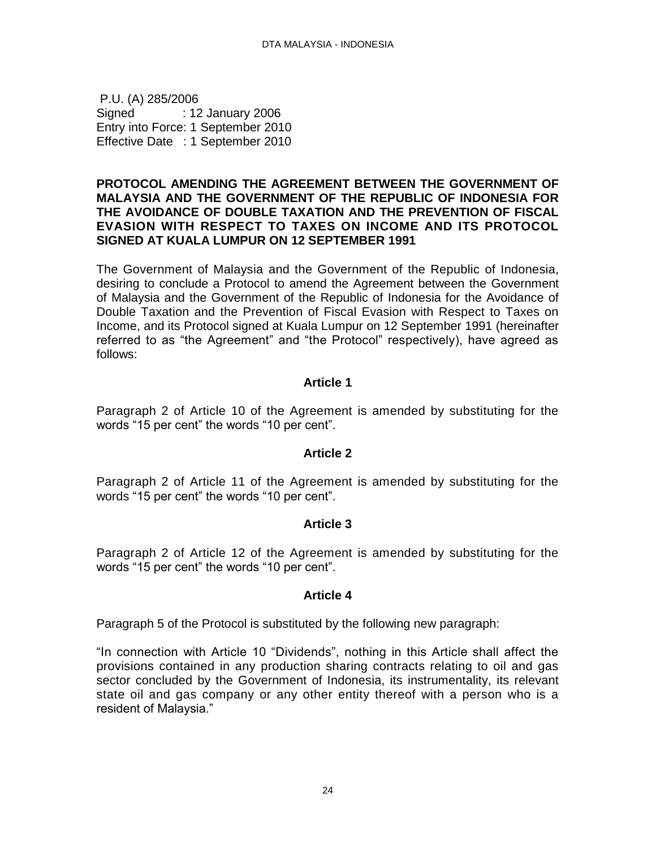<span id="page-23-0"></span>P.U. (A) 285/2006 Signed : 12 January 2006 Entry into Force: 1 September 2010 Effective Date : 1 September 2010

#### **PROTOCOL AMENDING THE AGREEMENT BETWEEN THE GOVERNMENT OF MALAYSIA AND THE GOVERNMENT OF THE REPUBLIC OF INDONESIA FOR THE AVOIDANCE OF DOUBLE TAXATION AND THE PREVENTION OF FISCAL EVASION WITH RESPECT TO TAXES ON INCOME AND ITS PROTOCOL SIGNED AT KUALA LUMPUR ON 12 SEPTEMBER 1991**

The Government of Malaysia and the Government of the Republic of Indonesia, desiring to conclude a Protocol to amend the Agreement between the Government of Malaysia and the Government of the Republic of Indonesia for the Avoidance of Double Taxation and the Prevention of Fiscal Evasion with Respect to Taxes on Income, and its Protocol signed at Kuala Lumpur on 12 September 1991 (hereinafter referred to as "the Agreement" and "the Protocol" respectively), have agreed as follows:

# **Article 1**

Paragraph 2 of Article 10 of the Agreement is amended by substituting for the words "15 per cent" the words "10 per cent".

### **Article 2**

Paragraph 2 of Article 11 of the Agreement is amended by substituting for the words "15 per cent" the words "10 per cent".

### **Article 3**

Paragraph 2 of Article 12 of the Agreement is amended by substituting for the words "15 per cent" the words "10 per cent".

#### **Article 4**

Paragraph 5 of the Protocol is substituted by the following new paragraph:

"In connection with Article 10 "Dividends", nothing in this Article shall affect the provisions contained in any production sharing contracts relating to oil and gas sector concluded by the Government of Indonesia, its instrumentality, its relevant state oil and gas company or any other entity thereof with a person who is a resident of Malaysia."